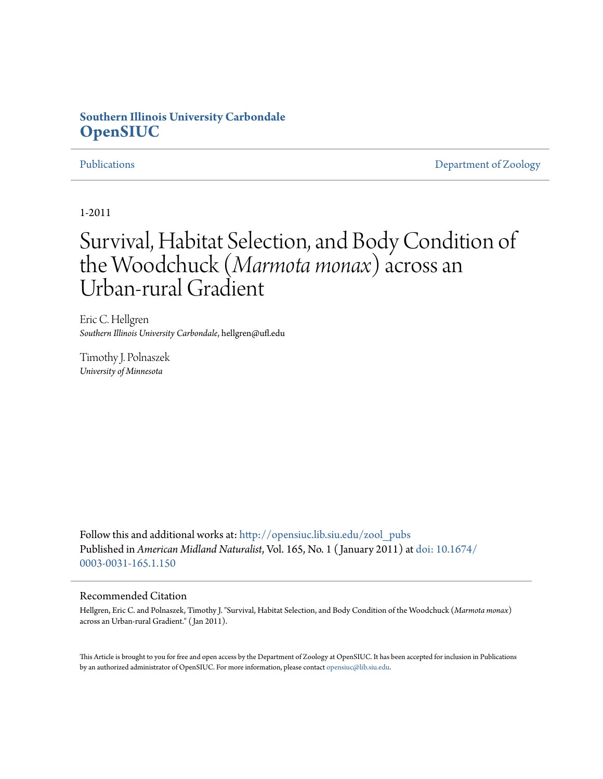# **Southern Illinois University Carbondale [OpenSIUC](http://opensiuc.lib.siu.edu?utm_source=opensiuc.lib.siu.edu%2Fzool_pubs%2F55&utm_medium=PDF&utm_campaign=PDFCoverPages)**

[Publications](http://opensiuc.lib.siu.edu/zool_pubs?utm_source=opensiuc.lib.siu.edu%2Fzool_pubs%2F55&utm_medium=PDF&utm_campaign=PDFCoverPages) **[Department of Zoology](http://opensiuc.lib.siu.edu/zool?utm_source=opensiuc.lib.siu.edu%2Fzool_pubs%2F55&utm_medium=PDF&utm_campaign=PDFCoverPages)** 

1-2011

# Survival, Habitat Selection, and Body Condition of the Woodchuck (*Marmota monax*) across an Urban-rural Gradient

Eric C. Hellgren *Southern Illinois University Carbondale*, hellgren@ufl.edu

Timothy J. Polnaszek *University of Minnesota*

Follow this and additional works at: [http://opensiuc.lib.siu.edu/zool\\_pubs](http://opensiuc.lib.siu.edu/zool_pubs?utm_source=opensiuc.lib.siu.edu%2Fzool_pubs%2F55&utm_medium=PDF&utm_campaign=PDFCoverPages) Published in *American Midland Naturalist*, Vol. 165, No. 1 ( January 2011) at [doi: 10.1674/](http://dx.doi.org/10.1674/0003-0031-165.1.150) [0003-0031-165.1.150](http://dx.doi.org/10.1674/0003-0031-165.1.150)

## Recommended Citation

Hellgren, Eric C. and Polnaszek, Timothy J. "Survival, Habitat Selection, and Body Condition of the Woodchuck (*Marmota monax*) across an Urban-rural Gradient." ( Jan 2011).

This Article is brought to you for free and open access by the Department of Zoology at OpenSIUC. It has been accepted for inclusion in Publications by an authorized administrator of OpenSIUC. For more information, please contact [opensiuc@lib.siu.edu.](mailto:opensiuc@lib.siu.edu)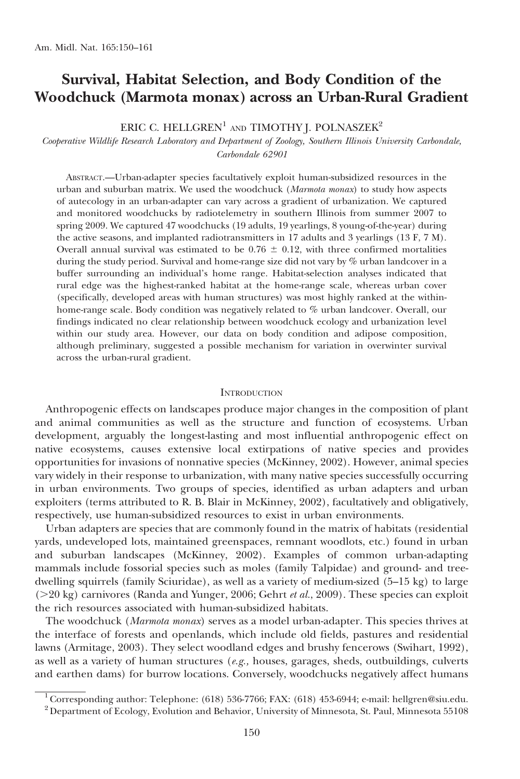# Survival, Habitat Selection, and Body Condition of the Woodchuck (Marmota monax) across an Urban-Rural Gradient

### ERIC C. HELLGREN<sup>1</sup> AND TIMOTHY J. POLNASZEK<sup>2</sup>

Cooperative Wildlife Research Laboratory and Department of Zoology, Southern Illinois University Carbondale, Carbondale 62901

ABSTRACT.—Urban-adapter species facultatively exploit human-subsidized resources in the urban and suburban matrix. We used the woodchuck (Marmota monax) to study how aspects of autecology in an urban-adapter can vary across a gradient of urbanization. We captured and monitored woodchucks by radiotelemetry in southern Illinois from summer 2007 to spring 2009. We captured 47 woodchucks (19 adults, 19 yearlings, 8 young-of-the-year) during the active seasons, and implanted radiotransmitters in 17 adults and 3 yearlings (13 F, 7 M). Overall annual survival was estimated to be  $0.76 \pm 0.12$ , with three confirmed mortalities during the study period. Survival and home-range size did not vary by % urban landcover in a buffer surrounding an individual's home range. Habitat-selection analyses indicated that rural edge was the highest-ranked habitat at the home-range scale, whereas urban cover (specifically, developed areas with human structures) was most highly ranked at the withinhome-range scale. Body condition was negatively related to % urban landcover. Overall, our findings indicated no clear relationship between woodchuck ecology and urbanization level within our study area. However, our data on body condition and adipose composition, although preliminary, suggested a possible mechanism for variation in overwinter survival across the urban-rural gradient.

#### **INTRODUCTION**

Anthropogenic effects on landscapes produce major changes in the composition of plant and animal communities as well as the structure and function of ecosystems. Urban development, arguably the longest-lasting and most influential anthropogenic effect on native ecosystems, causes extensive local extirpations of native species and provides opportunities for invasions of nonnative species (McKinney, 2002). However, animal species vary widely in their response to urbanization, with many native species successfully occurring in urban environments. Two groups of species, identified as urban adapters and urban exploiters (terms attributed to R. B. Blair in McKinney, 2002), facultatively and obligatively, respectively, use human-subsidized resources to exist in urban environments.

Urban adapters are species that are commonly found in the matrix of habitats (residential yards, undeveloped lots, maintained greenspaces, remnant woodlots, etc.) found in urban and suburban landscapes (McKinney, 2002). Examples of common urban-adapting mammals include fossorial species such as moles (family Talpidae) and ground- and treedwelling squirrels (family Sciuridae), as well as a variety of medium-sized (5–15 kg) to large  $(>=20 \text{ kg})$  carnivores (Randa and Yunger, 2006; Gehrt *et al.*, 2009). These species can exploit the rich resources associated with human-subsidized habitats.

The woodchuck (Marmota monax) serves as a model urban-adapter. This species thrives at the interface of forests and openlands, which include old fields, pastures and residential lawns (Armitage, 2003). They select woodland edges and brushy fencerows (Swihart, 1992), as well as a variety of human structures  $(e.g.,$  houses, garages, sheds, outbuildings, culverts and earthen dams) for burrow locations. Conversely, woodchucks negatively affect humans

<sup>&</sup>lt;sup>1</sup> Corresponding author: Telephone: (618) 536-7766; FAX: (618) 453-6944; e-mail: hellgren@siu.edu.<br><sup>2</sup> Department of Ecology, Evolution and Behavior, University of Minnesota, St. Paul, Minnesota 55108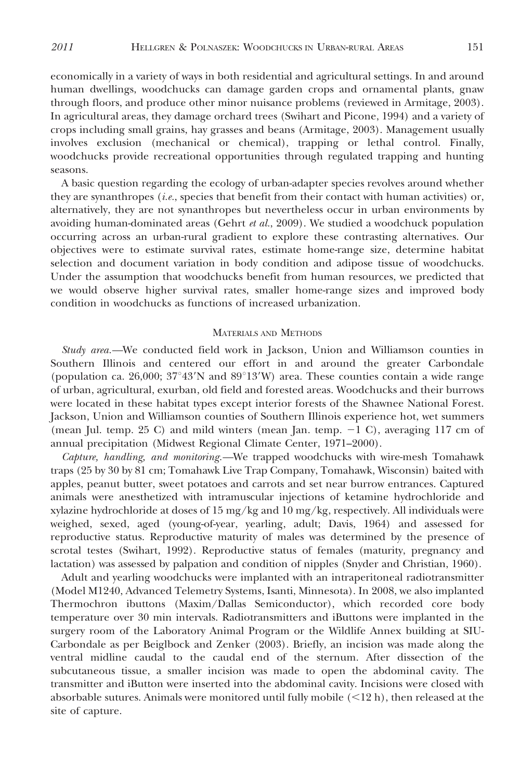economically in a variety of ways in both residential and agricultural settings. In and around human dwellings, woodchucks can damage garden crops and ornamental plants, gnaw through floors, and produce other minor nuisance problems (reviewed in Armitage, 2003). In agricultural areas, they damage orchard trees (Swihart and Picone, 1994) and a variety of crops including small grains, hay grasses and beans (Armitage, 2003). Management usually involves exclusion (mechanical or chemical), trapping or lethal control. Finally, woodchucks provide recreational opportunities through regulated trapping and hunting seasons.

A basic question regarding the ecology of urban-adapter species revolves around whether they are synanthropes (i.e., species that benefit from their contact with human activities) or, alternatively, they are not synanthropes but nevertheless occur in urban environments by avoiding human-dominated areas (Gehrt et al., 2009). We studied a woodchuck population occurring across an urban-rural gradient to explore these contrasting alternatives. Our objectives were to estimate survival rates, estimate home-range size, determine habitat selection and document variation in body condition and adipose tissue of woodchucks. Under the assumption that woodchucks benefit from human resources, we predicted that we would observe higher survival rates, smaller home-range sizes and improved body condition in woodchucks as functions of increased urbanization.

#### MATERIALS AND METHODS

Study area.—We conducted field work in Jackson, Union and Williamson counties in Southern Illinois and centered our effort in and around the greater Carbondale (population ca. 26,000;  $37^{\circ}43'N$  and  $89^{\circ}13'W$ ) area. These counties contain a wide range of urban, agricultural, exurban, old field and forested areas. Woodchucks and their burrows were located in these habitat types except interior forests of the Shawnee National Forest. Jackson, Union and Williamson counties of Southern Illinois experience hot, wet summers (mean Jul. temp. 25 C) and mild winters (mean Jan. temp.  $-1$  C), averaging 117 cm of annual precipitation (Midwest Regional Climate Center, 1971–2000).

Capture, handling, and monitoring.—We trapped woodchucks with wire-mesh Tomahawk traps (25 by 30 by 81 cm; Tomahawk Live Trap Company, Tomahawk, Wisconsin) baited with apples, peanut butter, sweet potatoes and carrots and set near burrow entrances. Captured animals were anesthetized with intramuscular injections of ketamine hydrochloride and xylazine hydrochloride at doses of  $15 \text{ mg/kg}$  and  $10 \text{ mg/kg}$ , respectively. All individuals were weighed, sexed, aged (young-of-year, yearling, adult; Davis, 1964) and assessed for reproductive status. Reproductive maturity of males was determined by the presence of scrotal testes (Swihart, 1992). Reproductive status of females (maturity, pregnancy and lactation) was assessed by palpation and condition of nipples (Snyder and Christian, 1960).

Adult and yearling woodchucks were implanted with an intraperitoneal radiotransmitter (Model M1240, Advanced Telemetry Systems, Isanti, Minnesota). In 2008, we also implanted Thermochron ibuttons (Maxim/Dallas Semiconductor), which recorded core body temperature over 30 min intervals. Radiotransmitters and iButtons were implanted in the surgery room of the Laboratory Animal Program or the Wildlife Annex building at SIU-Carbondale as per Beiglbock and Zenker (2003). Briefly, an incision was made along the ventral midline caudal to the caudal end of the sternum. After dissection of the subcutaneous tissue, a smaller incision was made to open the abdominal cavity. The transmitter and iButton were inserted into the abdominal cavity. Incisions were closed with absorbable sutures. Animals were monitored until fully mobile  $(<12 \text{ h})$ , then released at the site of capture.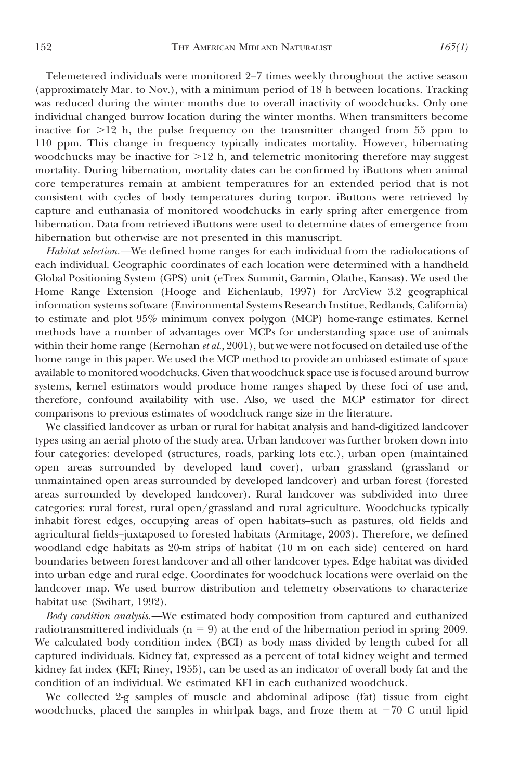Telemetered individuals were monitored 2–7 times weekly throughout the active season (approximately Mar. to Nov.), with a minimum period of 18 h between locations. Tracking was reduced during the winter months due to overall inactivity of woodchucks. Only one individual changed burrow location during the winter months. When transmitters become inactive for  $>12$  h, the pulse frequency on the transmitter changed from 55 ppm to 110 ppm. This change in frequency typically indicates mortality. However, hibernating woodchucks may be inactive for  $>12$  h, and telemetric monitoring therefore may suggest mortality. During hibernation, mortality dates can be confirmed by iButtons when animal core temperatures remain at ambient temperatures for an extended period that is not consistent with cycles of body temperatures during torpor. iButtons were retrieved by capture and euthanasia of monitored woodchucks in early spring after emergence from hibernation. Data from retrieved iButtons were used to determine dates of emergence from hibernation but otherwise are not presented in this manuscript.

Habitat selection.—We defined home ranges for each individual from the radiolocations of each individual. Geographic coordinates of each location were determined with a handheld Global Positioning System (GPS) unit (eTrex Summit, Garmin, Olathe, Kansas). We used the Home Range Extension (Hooge and Eichenlaub, 1997) for ArcView 3.2 geographical information systems software (Environmental Systems Research Institue, Redlands, California) to estimate and plot 95% minimum convex polygon (MCP) home-range estimates. Kernel methods have a number of advantages over MCPs for understanding space use of animals within their home range (Kernohan  $et al., 2001$ ), but we were not focused on detailed use of the home range in this paper. We used the MCP method to provide an unbiased estimate of space available to monitored woodchucks. Given that woodchuck space use is focused around burrow systems, kernel estimators would produce home ranges shaped by these foci of use and, therefore, confound availability with use. Also, we used the MCP estimator for direct comparisons to previous estimates of woodchuck range size in the literature.

We classified landcover as urban or rural for habitat analysis and hand-digitized landcover types using an aerial photo of the study area. Urban landcover was further broken down into four categories: developed (structures, roads, parking lots etc.), urban open (maintained open areas surrounded by developed land cover), urban grassland (grassland or unmaintained open areas surrounded by developed landcover) and urban forest (forested areas surrounded by developed landcover). Rural landcover was subdivided into three categories: rural forest, rural open/grassland and rural agriculture. Woodchucks typically inhabit forest edges, occupying areas of open habitats–such as pastures, old fields and agricultural fields–juxtaposed to forested habitats (Armitage, 2003). Therefore, we defined woodland edge habitats as 20-m strips of habitat (10 m on each side) centered on hard boundaries between forest landcover and all other landcover types. Edge habitat was divided into urban edge and rural edge. Coordinates for woodchuck locations were overlaid on the landcover map. We used burrow distribution and telemetry observations to characterize habitat use (Swihart, 1992).

Body condition analysis.—We estimated body composition from captured and euthanized radiotransmittered individuals ( $n = 9$ ) at the end of the hibernation period in spring 2009. We calculated body condition index (BCI) as body mass divided by length cubed for all captured individuals. Kidney fat, expressed as a percent of total kidney weight and termed kidney fat index (KFI; Riney, 1955), can be used as an indicator of overall body fat and the condition of an individual. We estimated KFI in each euthanized woodchuck.

We collected 2-g samples of muscle and abdominal adipose (fat) tissue from eight woodchucks, placed the samples in whirlpak bags, and froze them at  $-70$  C until lipid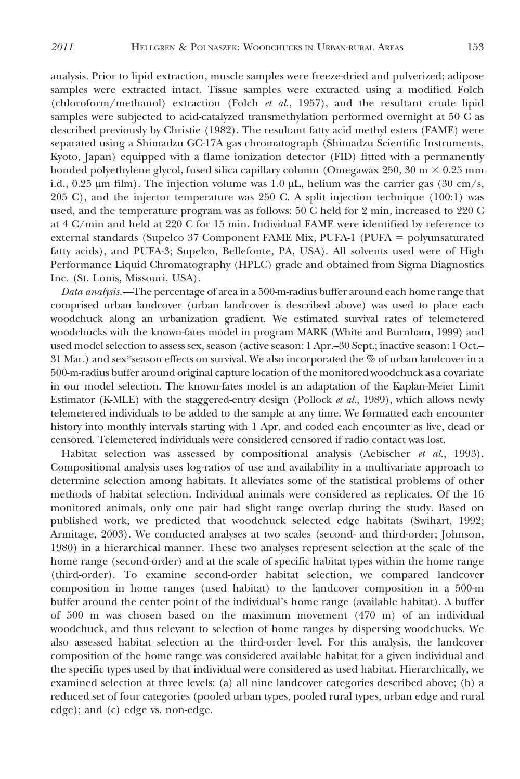analysis. Prior to lipid extraction, muscle samples were freeze-dried and pulverized; adipose samples were extracted intact. Tissue samples were extracted using a modified Folch (chloroform/methanol) extraction (Folch  $et$  al., 1957), and the resultant crude lipid samples were subjected to acid-catalyzed transmethylation performed overnight at 50 C as described previously by Christie (1982). The resultant fatty acid methyl esters (FAME) were separated using a Shimadzu GC-17A gas chromatograph (Shimadzu Scientific Instruments, Kyoto, Japan) equipped with a flame ionization detector (FID) fitted with a permanently bonded polyethylene glycol, fused silica capillary column (Omegawax 250, 30 m  $\times$  0.25 mm i.d., 0.25  $\mu$ m film). The injection volume was 1.0  $\mu$ L, helium was the carrier gas (30 cm/s, 205 C), and the injector temperature was 250 C. A split injection technique (100:1) was used, and the temperature program was as follows: 50 C held for 2 min, increased to 220 C at 4 C/min and held at 220 C for 15 min. Individual FAME were identified by reference to external standards (Supelco 37 Component FAME Mix, PUFA-1 (PUFA  $=$  polyunsaturated fatty acids), and PUFA-3; Supelco, Bellefonte, PA, USA). All solvents used were of High Performance Liquid Chromatography (HPLC) grade and obtained from Sigma Diagnostics Inc. (St. Louis, Missouri, USA).

Data analysis.—The percentage of area in a 500-m-radius buffer around each home range that comprised urban landcover (urban landcover is described above) was used to place each woodchuck along an urbanization gradient. We estimated survival rates of telemetered woodchucks with the known-fates model in program MARK (White and Burnham, 1999) and used model selection to assess sex, season (active season: 1 Apr.–30 Sept.; inactive season: 1 Oct.– 31 Mar.) and sex\*season effects on survival. We also incorporated the  $\%$  of urban landcover in a 500-m-radius buffer around original capture location of the monitored woodchuck as a covariate in our model selection. The known-fates model is an adaptation of the Kaplan-Meier Limit Estimator (K-MLE) with the staggered-entry design (Pollock et al., 1989), which allows newly telemetered individuals to be added to the sample at any time. We formatted each encounter history into monthly intervals starting with 1 Apr. and coded each encounter as live, dead or censored. Telemetered individuals were considered censored if radio contact was lost.

Habitat selection was assessed by compositional analysis (Aebischer et al., 1993). Compositional analysis uses log-ratios of use and availability in a multivariate approach to determine selection among habitats. It alleviates some of the statistical problems of other methods of habitat selection. Individual animals were considered as replicates. Of the 16 monitored animals, only one pair had slight range overlap during the study. Based on published work, we predicted that woodchuck selected edge habitats (Swihart, 1992; Armitage, 2003). We conducted analyses at two scales (second- and third-order; Johnson, 1980) in a hierarchical manner. These two analyses represent selection at the scale of the home range (second-order) and at the scale of specific habitat types within the home range (third-order). To examine second-order habitat selection, we compared landcover composition in home ranges (used habitat) to the landcover composition in a 500-m buffer around the center point of the individual's home range (available habitat). A buffer of 500 m was chosen based on the maximum movement (470 m) of an individual woodchuck, and thus relevant to selection of home ranges by dispersing woodchucks. We also assessed habitat selection at the third-order level. For this analysis, the landcover composition of the home range was considered available habitat for a given individual and the specific types used by that individual were considered as used habitat. Hierarchically, we examined selection at three levels: (a) all nine landcover categories described above; (b) a reduced set of four categories (pooled urban types, pooled rural types, urban edge and rural edge); and (c) edge vs. non-edge.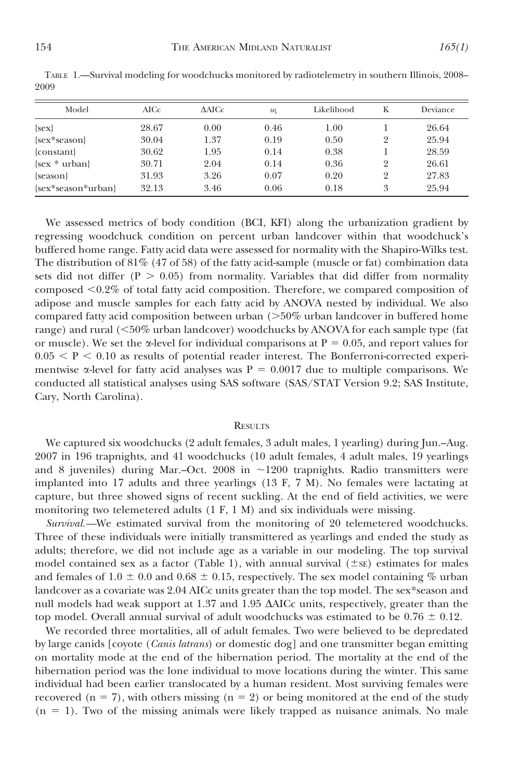| Model              | AICc  | $\triangle$ AICc | $w_i$ | Likelihood | K | Deviance |
|--------------------|-------|------------------|-------|------------|---|----------|
| $\{sex\}$          | 28.67 | 0.00             | 0.46  | 1.00       |   | 26.64    |
| {sex*season}       | 30.04 | 1.37             | 0.19  | 0.50       | 2 | 25.94    |
| $\{constant\}$     | 30.62 | 1.95             | 0.14  | 0.38       |   | 28.59    |
| $\{sex * urban\}$  | 30.71 | 2.04             | 0.14  | 0.36       | 2 | 26.61    |
| {season}           | 31.93 | 3.26             | 0.07  | 0.20       | 2 | 27.83    |
| {sex*season*urban} | 32.13 | 3.46             | 0.06  | 0.18       | 3 | 25.94    |

TABLE 1.—Survival modeling for woodchucks monitored by radiotelemetry in southern Illinois, 2008– 2009

We assessed metrics of body condition (BCI, KFI) along the urbanization gradient by regressing woodchuck condition on percent urban landcover within that woodchuck's buffered home range. Fatty acid data were assessed for normality with the Shapiro-Wilks test. The distribution of  $81\%$  (47 of 58) of the fatty acid-sample (muscle or fat) combination data sets did not differ ( $P > 0.05$ ) from normality. Variables that did differ from normality composed  $\leq 0.2\%$  of total fatty acid composition. Therefore, we compared composition of adipose and muscle samples for each fatty acid by ANOVA nested by individual. We also compared fatty acid composition between urban  $($ >50% urban landcover in buffered home range) and rural  $\langle$  50% urban landcover) woodchucks by ANOVA for each sample type (fat or muscle). We set the  $\alpha$ -level for individual comparisons at P = 0.05, and report values for  $0.05 \leq P \leq 0.10$  as results of potential reader interest. The Bonferroni-corrected experimentwise  $\alpha$ -level for fatty acid analyses was P = 0.0017 due to multiple comparisons. We conducted all statistical analyses using SAS software (SAS/STAT Version 9.2; SAS Institute, Cary, North Carolina).

#### **RESULTS**

We captured six woodchucks (2 adult females, 3 adult males, 1 yearling) during Jun.–Aug. 2007 in 196 trapnights, and 41 woodchucks (10 adult females, 4 adult males, 19 yearlings and 8 juveniles) during Mar.–Oct. 2008 in  $\sim$ 1200 trapnights. Radio transmitters were implanted into 17 adults and three yearlings (13 F, 7 M). No females were lactating at capture, but three showed signs of recent suckling. At the end of field activities, we were monitoring two telemetered adults (1 F, 1 M) and six individuals were missing.

Survival.—We estimated survival from the monitoring of 20 telemetered woodchucks. Three of these individuals were initially transmittered as yearlings and ended the study as adults; therefore, we did not include age as a variable in our modeling. The top survival model contained sex as a factor (Table 1), with annual survival  $(\pm s_{\rm E})$  estimates for males and females of 1.0  $\pm$  0.0 and 0.68  $\pm$  0.15, respectively. The sex model containing % urban landcover as a covariate was 2.04 AICc units greater than the top model. The sex\*season and null models had weak support at 1.37 and 1.95  $\triangle$ AICc units, respectively, greater than the top model. Overall annual survival of adult woodchucks was estimated to be  $0.76 \pm 0.12$ .

We recorded three mortalities, all of adult females. Two were believed to be depredated by large canids [coyote (*Canis latrans*) or domestic dog] and one transmitter began emitting on mortality mode at the end of the hibernation period. The mortality at the end of the hibernation period was the lone individual to move locations during the winter. This same individual had been earlier translocated by a human resident. Most surviving females were recovered (n = 7), with others missing (n = 2) or being monitored at the end of the study  $(n = 1)$ . Two of the missing animals were likely trapped as nuisance animals. No male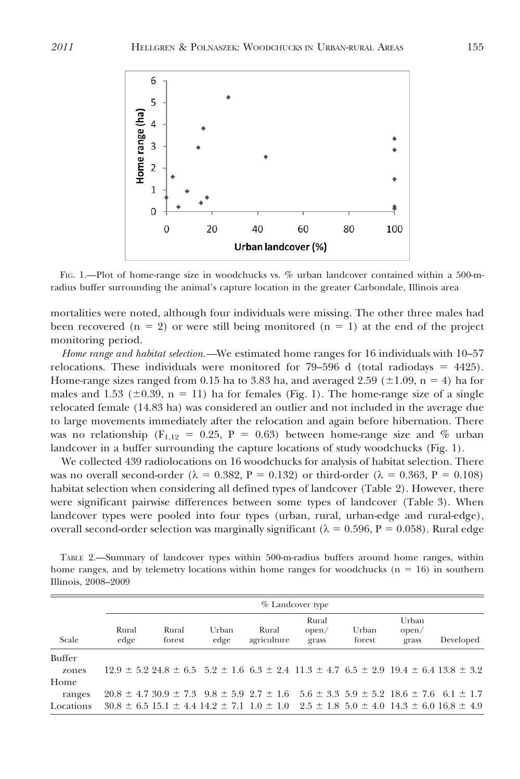

FIG. 1.—Plot of home-range size in woodchucks vs. % urban landcover contained within a 500-mradius buffer surrounding the animal's capture location in the greater Carbondale, Illinois area

mortalities were noted, although four individuals were missing. The other three males had been recovered ( $n = 2$ ) or were still being monitored ( $n = 1$ ) at the end of the project monitoring period.

Home range and habitat selection.—We estimated home ranges for 16 individuals with 10–57 relocations. These individuals were monitored for  $79-596$  d (total radiodays = 4425). Home-range sizes ranged from 0.15 ha to 3.83 ha, and averaged 2.59 ( $\pm$ 1.09, n = 4) ha for males and 1.53 ( $\pm$ 0.39, n = 11) ha for females (Fig. 1). The home-range size of a single relocated female (14.83 ha) was considered an outlier and not included in the average due to large movements immediately after the relocation and again before hibernation. There was no relationship ( $F_{1,12} = 0.25$ ,  $P = 0.63$ ) between home-range size and % urban landcover in a buffer surrounding the capture locations of study woodchucks (Fig. 1).

We collected 439 radiolocations on 16 woodchucks for analysis of habitat selection. There was no overall second-order ( $\lambda = 0.382$ , P = 0.132) or third-order ( $\lambda = 0.363$ , P = 0.108) habitat selection when considering all defined types of landcover (Table 2). However, there were significant pairwise differences between some types of landcover (Table 3). When landcover types were pooled into four types (urban, rural, urban-edge and rural-edge), overall second-order selection was marginally significant ( $\lambda = 0.596$ , P = 0.058). Rural edge

TABLE 2.—Summary of landcover types within 500-m-radius buffers around home ranges, within home ranges, and by telemetry locations within home ranges for woodchucks ( $n = 16$ ) in southern Illinois, 2008–2009

|               |               |                                                                                                                      |               |                      | $%$ Landcover type      |                 |                         |           |
|---------------|---------------|----------------------------------------------------------------------------------------------------------------------|---------------|----------------------|-------------------------|-----------------|-------------------------|-----------|
| Scale         | Rural<br>edge | Rural<br>forest                                                                                                      | Urban<br>edge | Rural<br>agriculture | Rural<br>open/<br>grass | Urban<br>forest | Urban<br>open/<br>grass | Developed |
| <b>Buffer</b> |               |                                                                                                                      |               |                      |                         |                 |                         |           |
| zones         |               | $12.9 \pm 5.2$ $24.8 \pm 6.5$ $5.2 \pm 1.6$ $6.3 \pm 2.4$ $11.3 \pm 4.7$ $6.5 \pm 2.9$ $19.4 \pm 6.4$ $13.8 \pm 3.2$ |               |                      |                         |                 |                         |           |
| Home          |               |                                                                                                                      |               |                      |                         |                 |                         |           |
| ranges        |               | $20.8 \pm 4.730.9 \pm 7.39.8 \pm 5.92.7 \pm 1.655.6 \pm 3.35.9 \pm 5.218.6 \pm 7.661 \pm 1.7$                        |               |                      |                         |                 |                         |           |
| Locations     |               | $30.8 \pm 6.5$ 15.1 $\pm$ 4.4 14.2 $\pm$ 7.1 1.0 $\pm$ 1.0 2.5 $\pm$ 1.8 5.0 $\pm$ 4.0 14.3 $\pm$ 6.0 16.8 $\pm$ 4.9 |               |                      |                         |                 |                         |           |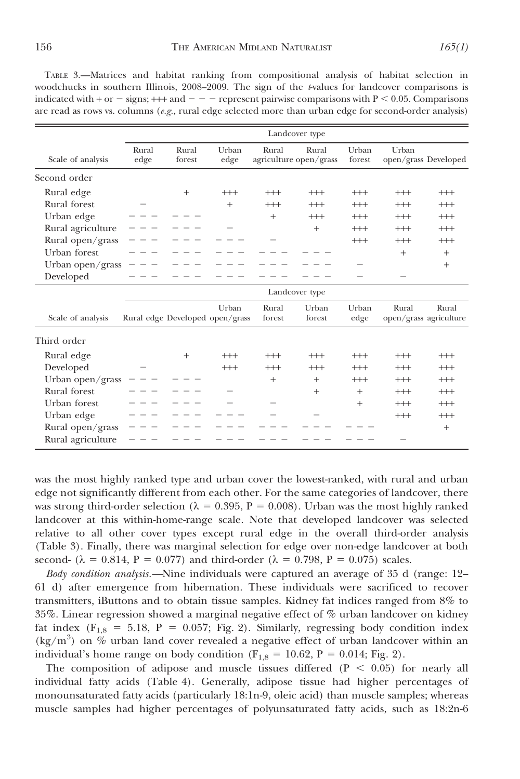TABLE 3.—Matrices and habitat ranking from compositional analysis of habitat selection in woodchucks in southern Illinois,  $2008-2009$ . The sign of the t-values for landcover comparisons is indicated with + or  $-$  signs; +++ and  $-$  represent pairwise comparisons with P < 0.05. Comparisons are read as rows vs. columns ( $e.g.,$  rural edge selected more than urban edge for second-order analysis)

|                   |               | Landcover type  |                                          |                 |                                 |                 |          |                                 |  |  |
|-------------------|---------------|-----------------|------------------------------------------|-----------------|---------------------------------|-----------------|----------|---------------------------------|--|--|
| Scale of analysis | Rural<br>edge | Rural<br>forest | Urban<br>edge                            | Rural           | Rural<br>agriculture open/grass | Urban<br>forest | Urban    | open/grass Developed            |  |  |
| Second order      |               |                 |                                          |                 |                                 |                 |          |                                 |  |  |
| Rural edge        |               | $^{+}$          | $^{+++}$                                 | $^{+++}$        | $^{++}$                         | $^{+++}$        | $^{+++}$ | $^{+++}$                        |  |  |
| Rural forest      |               |                 | $^{+}$                                   | $^{+++}$        | $^{+++}$                        | $^{+++}$        | $^{+++}$ | $^{+++}$                        |  |  |
| Urban edge        |               |                 |                                          | $+$             | $^{+++}$                        | $^{+++}$        | $^{+++}$ | $^{+++}$                        |  |  |
| Rural agriculture |               |                 |                                          |                 | $+$                             | $^{+++}$        | $^{+++}$ | $^{+++}$                        |  |  |
| Rural open/grass  |               |                 |                                          |                 |                                 | $^{+++}$        | $^{+++}$ | $^{+++}$                        |  |  |
| Urban forest      |               |                 |                                          |                 |                                 |                 | $^{+}$   | $^{+}$                          |  |  |
| Urban open/grass  |               |                 |                                          |                 |                                 |                 |          | $+$                             |  |  |
| Developed         |               |                 |                                          |                 |                                 |                 |          |                                 |  |  |
|                   |               |                 |                                          |                 | Landcover type                  |                 |          |                                 |  |  |
| Scale of analysis |               |                 | Urban<br>Rural edge Developed open/grass | Rural<br>forest | Urban<br>forest                 | Urban<br>edge   | Rural    | Rural<br>open/grass agriculture |  |  |
| Third order       |               |                 |                                          |                 |                                 |                 |          |                                 |  |  |
| Rural edge        |               | $^{+}$          | $^{+++}$                                 | $^{+++}$        | $^{+++}$                        | $^{+++}$        | $^{+++}$ | $^{+++}$                        |  |  |
| Developed         |               |                 | $^{+++}$                                 | $^{+++}$        | $^{++}$                         | $^{+++}$        | $^{+++}$ | $^{+++}$                        |  |  |
| Urban open/grass  |               |                 |                                          | $^{+}$          | $+$                             | $^{+++}$        | $^{+++}$ | $^{+++}$                        |  |  |
| Rural forest      |               |                 |                                          |                 | $+$                             | $^{+}$          | $^{+++}$ | $^{+++}$                        |  |  |
| Urban forest      |               |                 |                                          |                 |                                 | $+$             | $^{+++}$ | $^{+++}$                        |  |  |
| Urban edge        |               |                 |                                          |                 |                                 |                 | $^{+++}$ | $^{+++}$                        |  |  |
| Rural open/grass  |               |                 |                                          |                 |                                 |                 |          | $+$                             |  |  |
| Rural agriculture |               |                 |                                          |                 |                                 |                 |          |                                 |  |  |

was the most highly ranked type and urban cover the lowest-ranked, with rural and urban edge not significantly different from each other. For the same categories of landcover, there was strong third-order selection ( $\lambda = 0.395$ , P = 0.008). Urban was the most highly ranked landcover at this within-home-range scale. Note that developed landcover was selected relative to all other cover types except rural edge in the overall third-order analysis (Table 3). Finally, there was marginal selection for edge over non-edge landcover at both second- ( $\lambda = 0.814$ , P = 0.077) and third-order ( $\lambda = 0.798$ , P = 0.075) scales.

Body condition analysis.—Nine individuals were captured an average of 35 d (range: 12– 61 d) after emergence from hibernation. These individuals were sacrificed to recover transmitters, iButtons and to obtain tissue samples. Kidney fat indices ranged from 8% to 35%. Linear regression showed a marginal negative effect of % urban landcover on kidney fat index  $(F_{1,8} = 5.18, P = 0.057; Fig. 2)$ . Similarly, regressing body condition index  $(kg/m<sup>3</sup>)$  on % urban land cover revealed a negative effect of urban landcover within an individual's home range on body condition ( $F_{1,8} = 10.62$ ,  $P = 0.014$ ; Fig. 2).

The composition of adipose and muscle tissues differed  $(P < 0.05)$  for nearly all individual fatty acids (Table 4). Generally, adipose tissue had higher percentages of monounsaturated fatty acids (particularly 18:1n-9, oleic acid) than muscle samples; whereas muscle samples had higher percentages of polyunsaturated fatty acids, such as 18:2n-6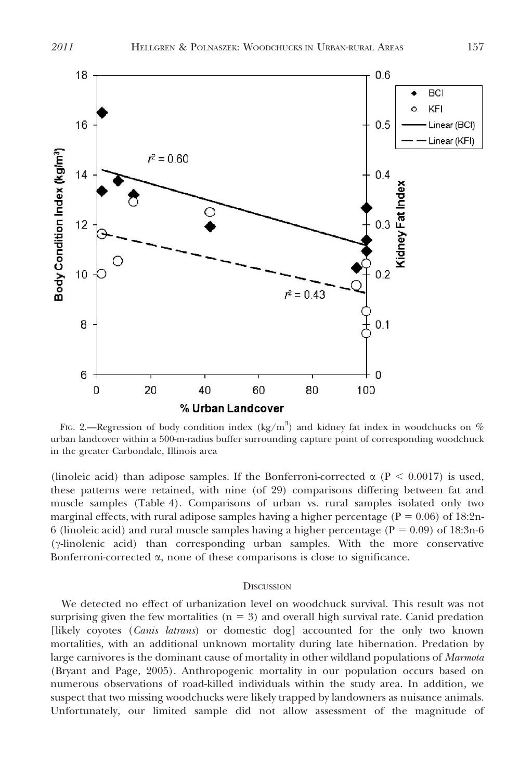

F1G. 2.—Regression of body condition index (kg/m<sup>3</sup>) and kidney fat index in woodchucks on  $\%$ urban landcover within a 500-m-radius buffer surrounding capture point of corresponding woodchuck in the greater Carbondale, Illinois area

(linoleic acid) than adipose samples. If the Bonferroni-corrected  $\alpha$  (P < 0.0017) is used, these patterns were retained, with nine (of 29) comparisons differing between fat and muscle samples (Table 4). Comparisons of urban vs. rural samples isolated only two marginal effects, with rural adipose samples having a higher percentage ( $P = 0.06$ ) of 18:2n-6 (linoleic acid) and rural muscle samples having a higher percentage ( $P = 0.09$ ) of 18:3n-6  $(\gamma$ -linolenic acid) than corresponding urban samples. With the more conservative Bonferroni-corrected  $\alpha$ , none of these comparisons is close to significance.

#### **DISCUSSION**

We detected no effect of urbanization level on woodchuck survival. This result was not surprising given the few mortalities ( $n = 3$ ) and overall high survival rate. Canid predation [likely coyotes (Canis latrans) or domestic dog] accounted for the only two known mortalities, with an additional unknown mortality during late hibernation. Predation by large carnivores is the dominant cause of mortality in other wildland populations of Marmota (Bryant and Page, 2005). Anthropogenic mortality in our population occurs based on numerous observations of road-killed individuals within the study area. In addition, we suspect that two missing woodchucks were likely trapped by landowners as nuisance animals. Unfortunately, our limited sample did not allow assessment of the magnitude of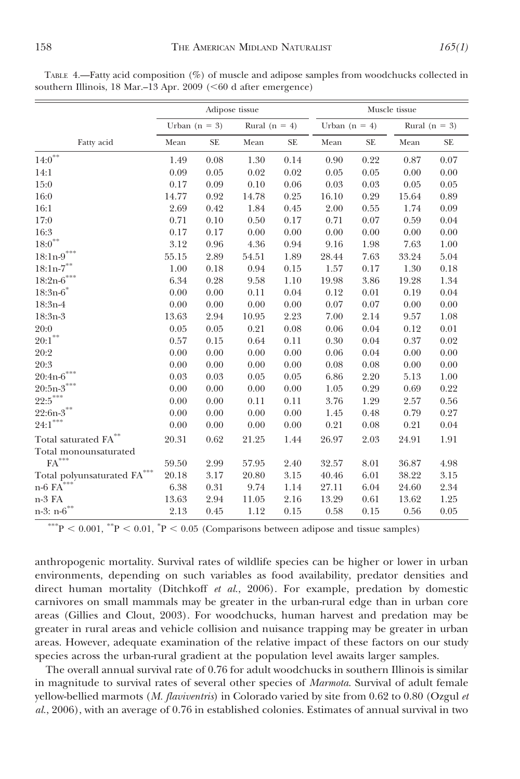Total monounsaturated

|                                            |                 | Muscle tissue |                   |           |                 |      |                 |      |
|--------------------------------------------|-----------------|---------------|-------------------|-----------|-----------------|------|-----------------|------|
|                                            | Urban $(n = 3)$ |               | Rural ( $n = 4$ ) |           | Urban $(n = 4)$ |      | Rural $(n = 3)$ |      |
| Fatty acid                                 | Mean            | <b>SE</b>     | Mean              | <b>SE</b> | Mean            | SE.  | Mean            | SE.  |
| $14:0^*$                                   | 1.49            | 0.08          | 1.30              | 0.14      | 0.90            | 0.22 | 0.87            | 0.07 |
| 14:1                                       | 0.09            | 0.05          | 0.02              | 0.02      | 0.05            | 0.05 | 0.00            | 0.00 |
| 15:0                                       | 0.17            | 0.09          | 0.10              | 0.06      | 0.03            | 0.03 | 0.05            | 0.05 |
| 16:0                                       | 14.77           | 0.92          | 14.78             | 0.25      | 16.10           | 0.29 | 15.64           | 0.89 |
| 16:1                                       | 2.69            | 0.42          | 1.84              | 0.45      | 2.00            | 0.55 | 1.74            | 0.09 |
| 17:0                                       | 0.71            | 0.10          | 0.50              | 0.17      | 0.71            | 0.07 | 0.59            | 0.04 |
| 16:3                                       | 0.17            | 0.17          | 0.00              | 0.00      | 0.00            | 0.00 | 0.00            | 0.00 |
| $18:0^{**}$                                | 3.12            | 0.96          | 4.36              | 0.94      | 9.16            | 1.98 | 7.63            | 1.00 |
| $18{:}1\mathrm{n}\text{-}\mathrm{9}^{***}$ | 55.15           | 2.89          | 54.51             | 1.89      | 28.44           | 7.63 | 33.24           | 5.04 |
| $18{:}1\mathrm{n}\text{-}7^{**}$           | 1.00            | 0.18          | 0.94              | 0.15      | 1.57            | 0.17 | 1.30            | 0.18 |
| $18:2n-6***$                               | 6.34            | 0.28          | 9.58              | 1.10      | 19.98           | 3.86 | 19.28           | 1.34 |
| $18:3n-6$ *                                | 0.00            | 0.00          | 0.11              | 0.04      | 0.12            | 0.01 | 0.19            | 0.04 |
| 18:3n-4                                    | 0.00            | 0.00          | 0.00              | 0.00      | 0.07            | 0.07 | 0.00            | 0.00 |
| 18:3n-3                                    | 13.63           | 2.94          | 10.95             | 2.23      | 7.00            | 2.14 | 9.57            | 1.08 |
| 20:0                                       | 0.05            | 0.05          | 0.21              | 0.08      | 0.06            | 0.04 | 0.12            | 0.01 |
| $20:1***$                                  | 0.57            | 0.15          | 0.64              | 0.11      | 0.30            | 0.04 | 0.37            | 0.02 |

20:2 0.00 0.00 0.00 0.00 0.06 0.04 0.00 0.00 20:3 0.00 0.00 0.00 0.00 0.08 0.08 0.00 0.00 20:4n-6\*\*\* 0.03 0.03 0.05 0.05 6.86 2.20 5.13 1.00  $20:5n-3$ <sup>\*\*\*</sup> 0.00 0.00 0.00 0.00 1.05 0.29 0.69 0.22  $22.5***$  0.00 0.00 0.11 0.11 3.76 1.29 2.57 0.56  $22:6n-3$ <sup>\*\*</sup> 0.00 0.00 0.00 0.00 1.45 0.48 0.79 0.27  $24:1^{***}$  0.00 0.00 0.00 0.00 0.21 0.08 0.21 0.04 Total saturated FA\*\* 20.31 0.62 21.25 1.44 26.97 2.03 24.91 1.91

FA<sup>\*\*\*</sup> 59.50 2.99 57.95 2.40 32.57 8.01 36.87 4.98 Total polyunsaturated FA\*\*\* 20.18 3.17 20.80 3.15 40.46 6.01 38.22 3.15 n-6 FA\*\*\* 6.38 0.31 9.74 1.14 27.11 6.04 24.60 2.34 n-3 FA 13.63 2.94 11.05 2.16 13.29 0.61 13.62 1.25 n-3: n-6<sup>\*\*</sup> 2.13 0.45 1.12 0.15 0.58 0.15 0.56 0.05

TABLE 4.—Fatty acid composition (%) of muscle and adipose samples from woodchucks collected in southern Illinois,  $18$  Mar $-13$  Apr. 2009 (<60 d after emergence)

\*\*\*P < 0.001, \*\*P < 0.01, \*P < 0.05 (Comparisons between adipose and tissue samples)

anthropogenic mortality. Survival rates of wildlife species can be higher or lower in urban environments, depending on such variables as food availability, predator densities and direct human mortality (Ditchkoff et al., 2006). For example, predation by domestic carnivores on small mammals may be greater in the urban-rural edge than in urban core areas (Gillies and Clout, 2003). For woodchucks, human harvest and predation may be greater in rural areas and vehicle collision and nuisance trapping may be greater in urban areas. However, adequate examination of the relative impact of these factors on our study species across the urban-rural gradient at the population level awaits larger samples.

The overall annual survival rate of 0.76 for adult woodchucks in southern Illinois is similar in magnitude to survival rates of several other species of Marmota. Survival of adult female yellow-bellied marmots (M. flaviventris) in Colorado varied by site from  $0.62$  to  $0.80$  (Ozgul et al., 2006), with an average of 0.76 in established colonies. Estimates of annual survival in two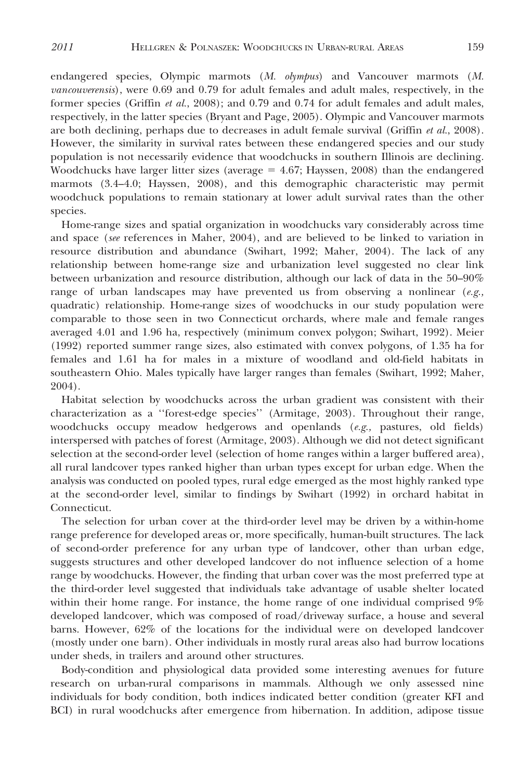endangered species, Olympic marmots (M. olympus) and Vancouver marmots (M. vancouverensis), were 0.69 and 0.79 for adult females and adult males, respectively, in the former species (Griffin *et al.*, 2008); and 0.79 and 0.74 for adult females and adult males, respectively, in the latter species (Bryant and Page, 2005). Olympic and Vancouver marmots are both declining, perhaps due to decreases in adult female survival (Griffin et al., 2008). However, the similarity in survival rates between these endangered species and our study population is not necessarily evidence that woodchucks in southern Illinois are declining. Woodchucks have larger litter sizes (average  $= 4.67$ ; Hayssen, 2008) than the endangered marmots (3.4–4.0; Hayssen, 2008), and this demographic characteristic may permit woodchuck populations to remain stationary at lower adult survival rates than the other species.

Home-range sizes and spatial organization in woodchucks vary considerably across time and space (see references in Maher, 2004), and are believed to be linked to variation in resource distribution and abundance (Swihart, 1992; Maher, 2004). The lack of any relationship between home-range size and urbanization level suggested no clear link between urbanization and resource distribution, although our lack of data in the 50–90% range of urban landscapes may have prevented us from observing a nonlinear  $(e.g.,)$ quadratic) relationship. Home-range sizes of woodchucks in our study population were comparable to those seen in two Connecticut orchards, where male and female ranges averaged 4.01 and 1.96 ha, respectively (minimum convex polygon; Swihart, 1992). Meier (1992) reported summer range sizes, also estimated with convex polygons, of 1.35 ha for females and 1.61 ha for males in a mixture of woodland and old-field habitats in southeastern Ohio. Males typically have larger ranges than females (Swihart, 1992; Maher, 2004).

Habitat selection by woodchucks across the urban gradient was consistent with their characterization as a ''forest-edge species'' (Armitage, 2003). Throughout their range, woodchucks occupy meadow hedgerows and openlands  $(e.g.,$  pastures, old fields) interspersed with patches of forest (Armitage, 2003). Although we did not detect significant selection at the second-order level (selection of home ranges within a larger buffered area), all rural landcover types ranked higher than urban types except for urban edge. When the analysis was conducted on pooled types, rural edge emerged as the most highly ranked type at the second-order level, similar to findings by Swihart (1992) in orchard habitat in Connecticut.

The selection for urban cover at the third-order level may be driven by a within-home range preference for developed areas or, more specifically, human-built structures. The lack of second-order preference for any urban type of landcover, other than urban edge, suggests structures and other developed landcover do not influence selection of a home range by woodchucks. However, the finding that urban cover was the most preferred type at the third-order level suggested that individuals take advantage of usable shelter located within their home range. For instance, the home range of one individual comprised 9% developed landcover, which was composed of road/driveway surface, a house and several barns. However, 62% of the locations for the individual were on developed landcover (mostly under one barn). Other individuals in mostly rural areas also had burrow locations under sheds, in trailers and around other structures.

Body-condition and physiological data provided some interesting avenues for future research on urban-rural comparisons in mammals. Although we only assessed nine individuals for body condition, both indices indicated better condition (greater KFI and BCI) in rural woodchucks after emergence from hibernation. In addition, adipose tissue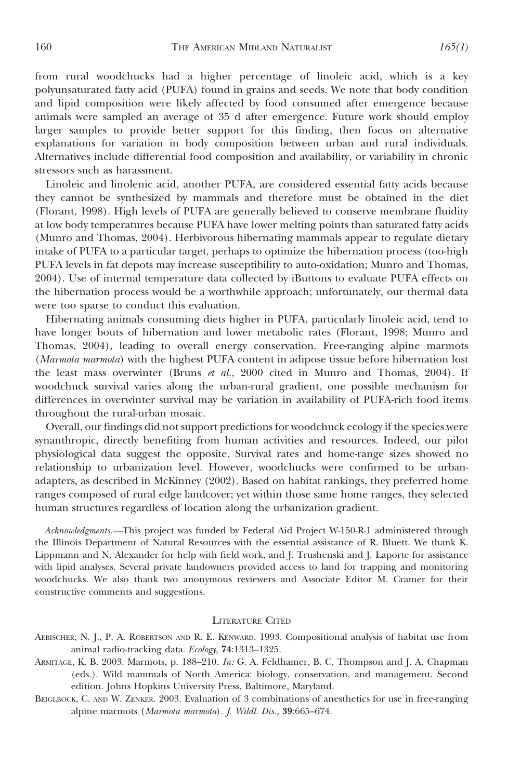from rural woodchucks had a higher percentage of linoleic acid, which is a key polyunsaturated fatty acid (PUFA) found in grains and seeds. We note that body condition and lipid composition were likely affected by food consumed after emergence because animals were sampled an average of 35 d after emergence. Future work should employ larger samples to provide better support for this finding, then focus on alternative explanations for variation in body composition between urban and rural individuals. Alternatives include differential food composition and availability, or variability in chronic stressors such as harassment.

Linoleic and linolenic acid, another PUFA, are considered essential fatty acids because they cannot be synthesized by mammals and therefore must be obtained in the diet (Florant, 1998). High levels of PUFA are generally believed to conserve membrane fluidity at low body temperatures because PUFA have lower melting points than saturated fatty acids (Munro and Thomas, 2004). Herbivorous hibernating mammals appear to regulate dietary intake of PUFA to a particular target, perhaps to optimize the hibernation process (too-high PUFA levels in fat depots may increase susceptibility to auto-oxidation; Munro and Thomas, 2004). Use of internal temperature data collected by iButtons to evaluate PUFA effects on the hibernation process would be a worthwhile approach; unfortunately, our thermal data were too sparse to conduct this evaluation.

Hibernating animals consuming diets higher in PUFA, particularly linoleic acid, tend to have longer bouts of hibernation and lower metabolic rates (Florant, 1998; Munro and Thomas, 2004), leading to overall energy conservation. Free-ranging alpine marmots (Marmota marmota) with the highest PUFA content in adipose tissue before hibernation lost the least mass overwinter (Bruns et al., 2000 cited in Munro and Thomas, 2004). If woodchuck survival varies along the urban-rural gradient, one possible mechanism for differences in overwinter survival may be variation in availability of PUFA-rich food items throughout the rural-urban mosaic.

Overall, our findings did not support predictions for woodchuck ecology if the species were synanthropic, directly benefiting from human activities and resources. Indeed, our pilot physiological data suggest the opposite. Survival rates and home-range sizes showed no relationship to urbanization level. However, woodchucks were confirmed to be urbanadapters, as described in McKinney (2002). Based on habitat rankings, they preferred home ranges composed of rural edge landcover; yet within those same home ranges, they selected human structures regardless of location along the urbanization gradient.

Acknowledgments.—This project was funded by Federal Aid Project W-150-R-1 administered through the Illinois Department of Natural Resources with the essential assistance of R. Bluett. We thank K. Lippmann and N. Alexander for help with field work, and J. Trushenski and J. Laporte for assistance with lipid analyses. Several private landowners provided access to land for trapping and monitoring woodchucks. We also thank two anonymous reviewers and Associate Editor M. Cramer for their constructive comments and suggestions.

#### LITERATURE CITED

- AEBISCHER, N. J., P. A. ROBERTSON AND R. E. KENWARD. 1993. Compositional analysis of habitat use from animal radio-tracking data. Ecology, 74:1313–1325.
- ARMITAGE, K. B. 2003. Marmots, p. 188–210. In: G. A. Feldhamer, B. C. Thompson and J. A. Chapman (eds.). Wild mammals of North America: biology, conservation, and management. Second edition. Johns Hopkins University Press, Baltimore, Maryland.
- BEIGLBOCK, C. AND W. ZENKER. 2003. Evaluation of 3 combinations of anesthetics for use in free-ranging alpine marmots (Marmota marmota). J. Wildl. Dis., 39:665–674.